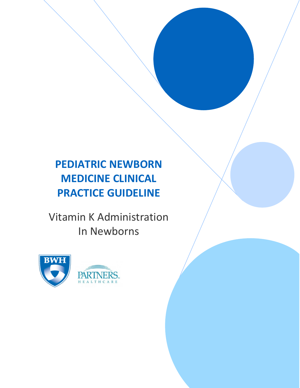# **PEDIATRIC NEWBORN MEDICINE CLINICAL PRACTICE GUIDELINE**

Vitamin K Administration In Newborns

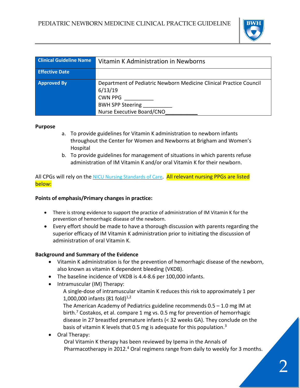

| <b>Clinical Guideline Name</b> | Vitamin K Administration in Newborns                                                                                                                      |
|--------------------------------|-----------------------------------------------------------------------------------------------------------------------------------------------------------|
| <b>Effective Date</b>          |                                                                                                                                                           |
| <b>Approved By</b>             | Department of Pediatric Newborn Medicine Clinical Practice Council<br>6/13/19<br><b>CWN PPG</b><br>BWH SPP Steering ________<br>Nurse Executive Board/CNO |

#### **Purpose**

- a. To provide guidelines for Vitamin K administration to newborn infants throughout the Center for Women and Newborns at Brigham and Women's Hospital
- b. To provide guidelines for management of situations in which parents refuse administration of IM Vitamin K and/or oral Vitamin K for their newborn.

#### All CPGs will rely on the NICU Nursing [Standards](http://www.bwhpikenotes.org/policies/Nursing/CWN_Clinical_Practice_Manual/NICU/NICU_Standards.pdf) of Care. All relevant nursing PPGs are listed below:

#### **Points of emphasis/Primary changes in practice:**

- There is strong evidence to support the practice of administration of IM Vitamin K for the prevention of hemorrhagic disease of the newborn.
- Every effort should be made to have a thorough discussion with parents regarding the superior efficacy of IM Vitamin K administration prior to initiating the discussion of administration of oral Vitamin K.

#### **Background and Summary of the Evidence**

- Vitamin K administration is for the prevention of hemorrhagic disease of the newborn, also known as vitamin K dependent bleeding (VKDB).
- The baseline incidence of VKDB is 4.4-8.6 per 100,000 infants.
- Intramuscular (IM) Therapy:

A single-dose of intramuscular vitamin K reduces this risk to approximately 1 per 1,000,000 infants (81 fold) $^{1,2}$ 

The American Academy of Pediatrics guideline recommends 0.5 – 1.0 mg IM at birth.<sup>7</sup> Costakos, et al. compare 1 mg vs. 0.5 mg for prevention of hemorrhagic disease in 27 breastfed premature infants (< 32 weeks GA). They conclude on the basis of vitamin K levels that 0.5 mg is adequate for this population.<sup>3</sup>

• Oral Therapy:

Oral Vitamin K therapy has been reviewed by Ipema in the Annals of Pharmacotherapy in 2012.<sup>4</sup> Oral regimens range from daily to weekly for 3 months.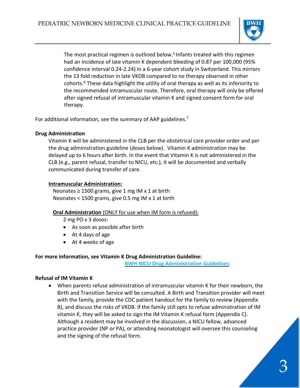

The most practical regimen is outlined below.<sup>5</sup> Infants treated with this regimen had an incidence of late vitamin K dependent bleeding of 0.87 per 100,000 (95% confidence interval 0.24-2.24) in a 6-year cohort study in Switzerland. This mirrors the 13 fold reduction in late VKDB compared to no therapy observed in other cohorts. $6$  These data highlight the utility of oral therapy as well as its inferiority to the recommended intramuscular route. Therefore, oral therapy will only be offered after signed refusal of intramuscular vitamin K and signed consent form for oral therapy.

For additional information, see the summary of AAP guidelines.<sup>7</sup>

#### **Drug Administration**

Vitamin K will be administered in the CLB per the obstetrical care provider order and per the drug administration guideline (doses below). Vitamin K administration may be delayed up to 6 hours after birth. In the event that Vitamin K is not administered in the CLB (e.g., parent refusal, transfer to NICU, etc.), it will be documented and verbally communicated during transfer of care.

#### **Intramuscular Administration:**

Neonates  $\geq 1500$  grams, give 1 mg IM x 1 at birth Neonates < 1500 grams, give 0.5 mg IM x 1 at birth

#### **Oral Administration** (ONLY for use when IM form is refused):

2 mg PO x 3 doses:

- As soon as possible after birth
- At 4 days of age
- At 4 weeks of age

#### **For more information, see Vitamin K Drug Administration Guideline:**

**BWH NICU Drug [Administration](http://www.bwhpikenotes.org/policies/departments/NICU/drug_admin/default.aspx) Guidelines**

#### **Refusal of IM Vitamin K**

• When parents refuse administration of intramuscular vitamin K for their newborn, the Birth and Transition Service will be consulted. A Birth and Transition provider will meet with the family, provide the CDC patient handout for the family to review (Appendix B), and discuss the risks of VKDB. If the family still opts to refuse administration of IM vitamin K, they will be asked to sign the IM Vitamin K refusal form (Appendix C). Although a resident may be involved in the discussion, a NICU fellow, advanced practice provider (NP or PA), or attending neonatologist will oversee this counseling and the signing of the refusal form.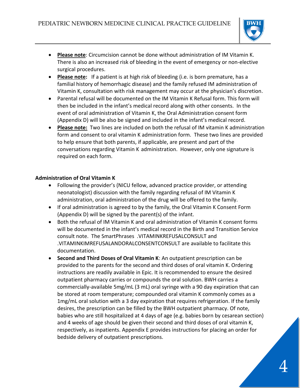

- **Please note**: Circumcision cannot be done without administration of IM Vitamin K. There is also an increased risk of bleeding in the event of emergency or non-elective surgical procedures.
- **Please note:** If a patient is at high risk of bleeding (i.e. is born premature, has a familial history of hemorrhagic disease) and the family refused IM administration of Vitamin K, consultation with risk management may occur at the physician's discretion.
- Parental refusal will be documented on the IM Vitamin K Refusal form. This form will then be included in the infant's medical record along with other consents. In the event of oral administration of Vitamin K, the Oral Administration consent form (Appendix D) will be also be signed and included in the infant's medical record.
- **Please note:** Two lines are included on both the refusal of IM vitamin K administration form and consent to oral vitamin K administration form. These two lines are provided to help ensure that both parents, if applicable, are present and part of the conversations regarding Vitamin K administration. However, only one signature is required on each form.

#### **Administration of Oral Vitamin K**

- Following the provider's (NICU fellow, advanced practice provider, or attending neonatologist) discussion with the family regarding refusal of IM Vitamin K administration, oral administration of the drug will be offered to the family.
- If oral administration is agreed to by the family, the Oral Vitamin K Consent Form (Appendix D) will be signed by the parent(s) of the infant.
- Both the refusal of IM Vitamin K and oral administration of Vitamin K consent forms will be documented in the infant's medical record in the Birth and Transition Service consult note. The SmartPhrases .VITAMINKREFUSALCONSULT and .VITAMINKIMREFUSALANDORALCONSENTCONSULT are available to facilitate this documentation.
- **Second and Third Doses of Oral Vitamin K**: An outpatient prescription can be provided to the parents for the second and third doses of oral vitamin K. Ordering instructions are readily available in Epic. It is recommended to ensure the desired outpatient pharmacy carries or compounds the oral solution. BWH carries a commercially-available 5mg/mL (3 mL) oral syringe with a 90 day expiration that can be stored at room temperature; compounded oral vitamin K commonly comes as a 1mg/mL oral solution with a 3 day expiration that requires refrigeration. If the family desires, the prescription can be filled by the BWH outpatient pharmacy. Of note, babies who are still hospitalized at 4 days of age (e.g. babies born by cesarean section) and 4 weeks of age should be given their second and third doses of oral vitamin K, respectively, as inpatients. Appendix E provides instructions for placing an order for bedside delivery of outpatient prescriptions.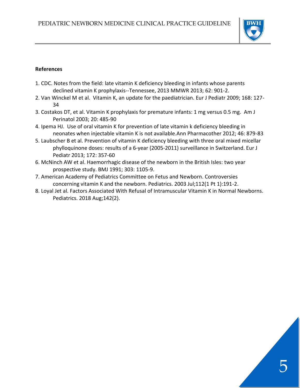

#### **References**

- 1. CDC. Notes from the field: late vitamin K deficiency bleeding in infants whose parents declined vitamin K prophylaxis--Tennessee, 2013 MMWR 2013; 62: 901-2.
- 2. Van Winckel M et al. Vitamin K, an update for the paediatrician. Eur J Pediatr 2009; 168: 127- 34
- 3. Costakos DT, et al. Vitamin K prophylaxis for premature infants: 1 mg versus 0.5 mg. Am J Perinatol 2003; 20: 485-90
- 4. Ipema HJ. Use of oral vitamin K for prevention of late vitamin k deficiency bleeding in neonates when injectable vitamin K is not available.Ann Pharmacother 2012; 46: 879-83
- 5. Laubscher B et al. Prevention of vitamin K deficiency bleeding with three oral mixed micellar phylloquinone doses: results of a 6-year (2005-2011) surveillance in Switzerland. Eur J Pediatr 2013; 172: 357-60
- 6. McNinch AW et al. Haemorrhagic disease of the newborn in the British Isles: two year prospective study. BMJ 1991; 303: 1105-9.
- 7. American Academy of Pediatrics Committee on Fetus and Newborn. Controversies concerning vitamin K and the newborn. Pediatrics. 2003 Jul;112(1 Pt 1):191-2.
- 8. Loyal Jet al. Factors Associated With Refusal of Intramuscular Vitamin K in Normal Newborns. Pediatrics. 2018 Aug;142(2).

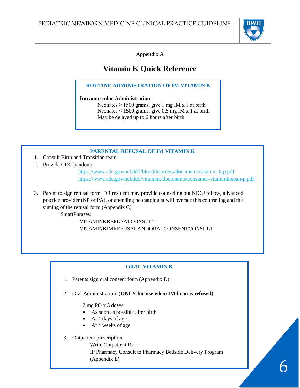

**Appendix A**

# **Vitamin K Quick Reference**

**ROUTINE ADMINISTRATION OF IM VITAMIN K**

#### **Intramuscular Administration:**

Neonates  $\geq 1500$  grams, give 1 mg IM x 1 at birth Neonates < 1500 grams, give 0.5 mg IM x 1 at birth May be delayed up to 6 hours after birth

### **PARENTAL REFUSAL OF IM VITAMIN K**

- 1. Consult Birth and Transition team
- 2. Provide CDC handout:

<https://www.cdc.gov/ncbddd/blooddisorders/documents/vitamin-k-p.pdf> <https://www.cdc.gov/ncbddd/vitamink/documents/consumer-vitamink-span-p.pdf>

3. Parent to sign refusal form: DR resident may provide counseling but NICU fellow, advanced practice provider (NP or PA), or attending neonatologist will oversee this counseling and the signing of the refusal form (Appendix C)

SmartPhrases:

.VITAMINKREFUSALCONSULT .VITAMINKIMREFUSALANDORALCONSENTCONSULT

## **ORAL VITAMIN K**

- 1. Parents sign oral consent form (Appendix D)
- 2. Oral Administration: (**ONLY for use when IM form is refused**)

2 mg PO x 3 doses:

- As soon as possible after birth
- At 4 days of age
- At 4 weeks of age

#### 3. Outpatient prescription:

Write Outpatient Rx IP Pharmacy Consult to Pharmacy Bedside Delivery Program (Appendix E)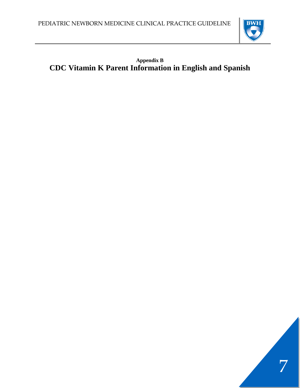

# **Appendix B CDC Vitamin K Parent Information in English and Spanish**

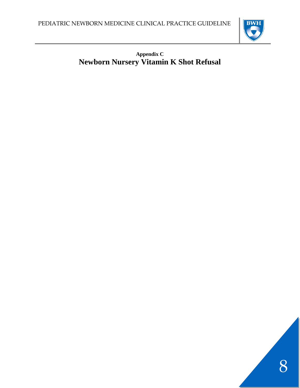

## **Appendix C Newborn Nursery Vitamin K Shot Refusal**

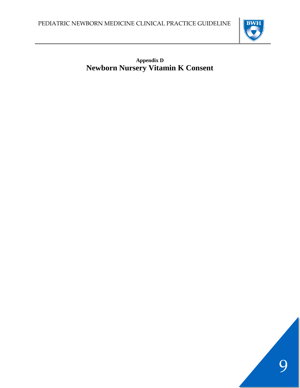

**Appendix D Newborn Nursery Vitamin K Consent**

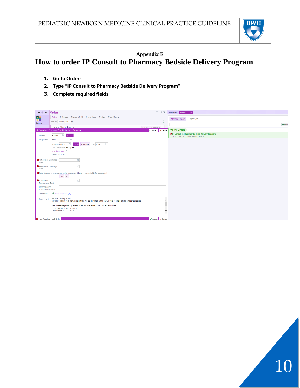

## **Appendix E How to order IP Consult to Pharmacy Bedside Delivery Program**

- **1. Go to Orders**
- **2. Type "IP Consult to Pharmacy Bedside Delivery Program"**
- **3. Complete required fields**